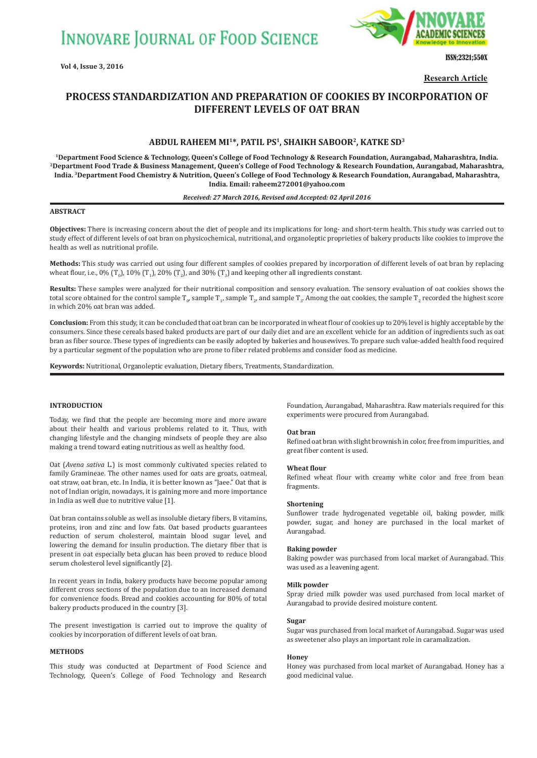

ISSN;2321;550X

**Research Article**

# **PROCESS STANDARDIZATION AND PREPARATION OF COOKIES BY INCORPORATION OF DIFFERENT LEVELS OF OAT BRAN**

# **ABDUL RAHEEM MI1\*, PATIL PS1, SHAIKH SABOOR2, KATKE SD3**

**1Department Food Science & Technology, Queen's College of Food Technology & Research Foundation, Aurangabad, Maharashtra, India. 2Department Food Trade & Business Management, Queen's College of Food Technology & Research Foundation, Aurangabad, Maharashtra, India. 3Department Food Chemistry & Nutrition, Queen's College of Food Technology & Research Foundation, Aurangabad, Maharashtra, India. Email: raheem272001@yahoo.com**

### *Received: 27 March 2016, Revised and Accepted: 02 April 2016*

# **ABSTRACT**

**Objectives:** There is increasing concern about the diet of people and its implications for long- and short-term health. This study was carried out to study effect of different levels of oat bran on physicochemical, nutritional, and organoleptic proprieties of bakery products like cookies to improve the health as well as nutritional profile.

**Methods:** This study was carried out using four different samples of cookies prepared by incorporation of different levels of oat bran by replacing wheat flour, i.e., 0% (T<sub>0</sub>), 10% (T<sub>1</sub>), 20% (T<sub>2</sub>), and 30% (T<sub>3</sub>) and keeping other all ingredients constant.

**Results:** These samples were analyzed for their nutritional composition and sensory evaluation. The sensory evaluation of oat cookies shows the total score obtained for the control sample T $_{\rm p}$ , sample T $_{\rm p}$ , sample T $_{\rm p}$  and sample T $_{\rm 3}$ . Among the oat cookies, the sample T $_{\rm 2}$  recorded the highest score in which 20% oat bran was added.

**Conclusion:** From this study, it can be concluded that oat bran can be incorporated in wheat flour of cookies up to 20% level is highly acceptable by the consumers. Since these cereals based baked products are part of our daily diet and are an excellent vehicle for an addition of ingredients such as oat bran as fiber source. These types of ingredients can be easily adopted by bakeries and housewives. To prepare such value-added health food required by a particular segment of the population who are prone to fiber related problems and consider food as medicine.

**Keywords:** Nutritional, Organoleptic evaluation, Dietary fibers, Treatments, Standardization.

# **INTRODUCTION**

Today, we find that the people are becoming more and more aware about their health and various problems related to it. Thus, with changing lifestyle and the changing mindsets of people they are also making a trend toward eating nutritious as well as healthy food.

Oat (*Avena sativa* L.) is most commonly cultivated species related to family Gramineae. The other names used for oats are groats, oatmeal, oat straw, oat bran, etc. In India, it is better known as "Jaee." Oat that is not of Indian origin, nowadays, it is gaining more and more importance in India as well due to nutritive value [1].

Oat bran contains soluble as well as insoluble dietary fibers, B vitamins, proteins, iron and zinc and low fats. Oat based products guarantees reduction of serum cholesterol, maintain blood sugar level, and lowering the demand for insulin production. The dietary fiber that is present in oat especially beta glucan has been proved to reduce blood serum cholesterol level significantly [2].

In recent years in India, bakery products have become popular among different cross sections of the population due to an increased demand for convenience foods. Bread and cookies accounting for 80% of total bakery products produced in the country [3].

The present investigation is carried out to improve the quality of cookies by incorporation of different levels of oat bran.

# **METHODS**

This study was conducted at Department of Food Science and Technology, Queen's College of Food Technology and Research Foundation, Aurangabad, Maharashtra. Raw materials required for this experiments were procured from Aurangabad.

### **Oat bran**

Refined oat bran with slight brownish in color, free from impurities, and great fiber content is used.

#### **Wheat flour**

Refined wheat flour with creamy white color and free from bean fragments.

#### **Shortening**

Sunflower trade hydrogenated vegetable oil, baking powder, milk powder, sugar, and honey are purchased in the local market of Aurangabad.

#### **Baking powder**

Baking powder was purchased from local market of Aurangabad. This was used as a leavening agent.

#### **Milk powder**

Spray dried milk powder was used purchased from local market of Aurangabad to provide desired moisture content.

#### **Sugar**

Sugar was purchased from local market of Aurangabad. Sugar was used as sweetener also plays an important role in caramalization.

#### **Honey**

Honey was purchased from local market of Aurangabad. Honey has a good medicinal value.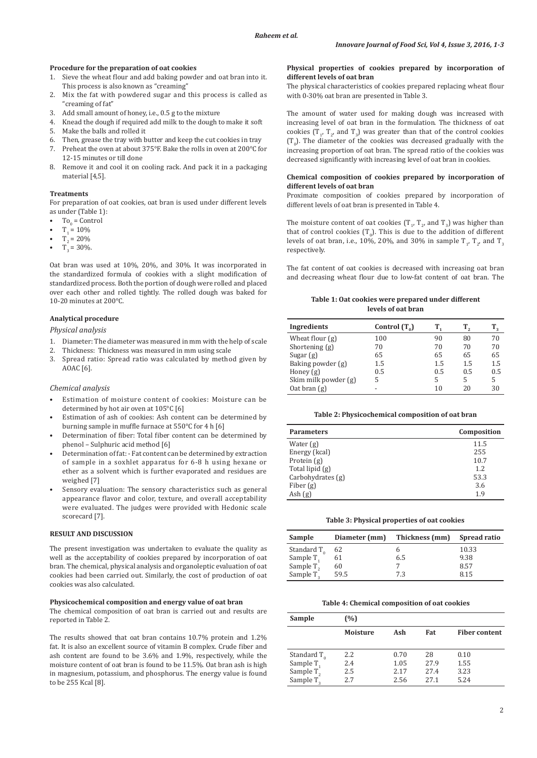# **Procedure for the preparation of oat cookies**

- 1. Sieve the wheat flour and add baking powder and oat bran into it. This process is also known as "creaming"
- 2. Mix the fat with powdered sugar and this process is called as "creaming of fat"
- 3. Add small amount of honey, i.e., 0.5 g to the mixture
- 4. Knead the dough if required add milk to the dough to make it soft
- 5. Make the balls and rolled it
- 6. Then, grease the tray with butter and keep the cut cookies in tray
- 7. Preheat the oven at about 375°F. Bake the rolls in oven at 200°C for 12-15 minutes or till done
- 8. Remove it and cool it on cooling rack. And pack it in a packaging material [4,5].

#### **Treatments**

For preparation of oat cookies, oat bran is used under different levels as under (Table 1):

- To<sub>0</sub> = Control
- $T_1 = 10\%$
- $T_2 = 20\%$
- $T_3 = 30\%$ .

Oat bran was used at 10%, 20%, and 30%. It was incorporated in the standardized formula of cookies with a slight modification of standardized process. Both the portion of dough were rolled and placed over each other and rolled tightly. The rolled dough was baked for 10-20 minutes at 200°C.

# **Analytical procedure**

*Physical analysis*

- 1. Diameter: The diameter was measured in mm with the help of scale
- 2. Thickness: Thickness was measured in mm using scale
- 3. Spread ratio: Spread ratio was calculated by method given by AOAC [6].

## *Chemical analysis*

- Estimation of moisture content of cookies: Moisture can be determined by hot air oven at 105°C [6]
- Estimation of ash of cookies: Ash content can be determined by burning sample in muffle furnace at 550°C for 4 h [6]
- Determination of fiber: Total fiber content can be determined by phenol – Sulphuric acid method [6]
- Determination of fat: Fat content can be determined by extraction of sample in a soxhlet apparatus for 6-8 h using hexane or ether as a solvent which is further evaporated and residues are weighed [7]
- Sensory evaluation: The sensory characteristics such as general appearance flavor and color, texture, and overall acceptability were evaluated. The judges were provided with Hedonic scale scorecard [7].

# **RESULT AND DISCUSSION**

The present investigation was undertaken to evaluate the quality as well as the acceptability of cookies prepared by incorporation of oat bran. The chemical, physical analysis and organoleptic evaluation of oat cookies had been carried out. Similarly, the cost of production of oat cookies was also calculated.

#### **Physicochemical composition and energy value of oat bran**

The chemical composition of oat bran is carried out and results are reported in Table 2.

The results showed that oat bran contains 10.7% protein and 1.2% fat. It is also an excellent source of vitamin B complex. Crude fiber and ash content are found to be 3.6% and 1.9%, respectively, while the moisture content of oat bran is found to be 11.5%. Oat bran ash is high in magnesium, potassium, and phosphorus. The energy value is found to be 255 Kcal [8].

### **Physical properties of cookies prepared by incorporation of different levels of oat bran**

The physical characteristics of cookies prepared replacing wheat flour with 0-30% oat bran are presented in Table 3.

The amount of water used for making dough was increased with increasing level of oat bran in the formulation. The thickness of oat cookies  $(T_1, T_2,$  and  $T_3)$  was greater than that of the control cookies  $(T_0)$ . The diameter of the cookies was decreased gradually with the increasing proportion of oat bran. The spread ratio of the cookies was decreased significantly with increasing level of oat bran in cookies.

# **Chemical composition of cookies prepared by incorporation of different levels of oat bran**

Proximate composition of cookies prepared by incorporation of different levels of oat bran is presented in Table 4.

The moisture content of oat cookies  $(T_1, T_2,$  and  $T_3)$  was higher than that of control cookies  $(T_0)$ . This is due to the addition of different levels of oat bran, i.e., 10%, 20%, and 30% in sample  $\text{T}_{1'}$ ,  $\text{T}_{2'}$  and  $\text{T}_{3}$ respectively.

The fat content of oat cookies is decreased with increasing oat bran and decreasing wheat flour due to low-fat content of oat bran. The

# **Table 1: Oat cookies were prepared under different levels of oat bran**

| Ingredients          | Control $(T_0)$ |     |     |     |
|----------------------|-----------------|-----|-----|-----|
| Wheat flour $(g)$    | 100             | 90  | 80  | 70  |
| Shortening $(g)$     | 70              | 70  | 70  | 70  |
| Sugar $(g)$          | 65              | 65  | 65  | 65  |
| Baking powder (g)    | 1.5             | 1.5 | 1.5 | 1.5 |
| Honey $(g)$          | 0.5             | 0.5 | 0.5 | 0.5 |
| Skim milk powder (g) | 5               | 5   | 5   | 5   |
| Oat bran $(g)$       |                 | 10  | 20  | 30  |

## **Table 2: Physicochemical composition of oat bran**

| <b>Parameters</b> | Composition |
|-------------------|-------------|
| Water $(g)$       | 11.5        |
| Energy (kcal)     | 255         |
| Protein $(g)$     | 10.7        |
| Total lipid (g)   | 1.2.        |
| Carbohydrates (g) | 53.3        |
| Fiber $(g)$       | 3.6         |
| Ash $(g)$         | 1.9         |

**Table 3: Physical properties of oat cookies**

| Sample                | Diameter (mm) | Thickness (mm) | Spread ratio |
|-----------------------|---------------|----------------|--------------|
| Standard $T_{0}$      | 62            |                | 10.33        |
| Sample $T_1$          | 61            | 6.5            | 9.38         |
| Sample $T_2$          | 60            |                | 8.57         |
| Sample T <sub>2</sub> | 59.5          | 7.3            | 8.15         |

#### **Table 4: Chemical composition of oat cookies**

| Sample                | (%)             |      |      |                      |
|-----------------------|-----------------|------|------|----------------------|
|                       | <b>Moisture</b> | Ash  | Fat  | <b>Fiber content</b> |
|                       |                 |      |      |                      |
| Standard $T_{0}$      | 2.2             | 0.70 | 28   | 0.10                 |
| Sample T <sub>1</sub> | 2.4             | 1.05 | 27.9 | 1.55                 |
| Sample $T_2$          | 2.5             | 2.17 | 27.4 | 3.23                 |
| Sample T <sub>2</sub> | 2.7             | 2.56 | 27.1 | 5.24                 |